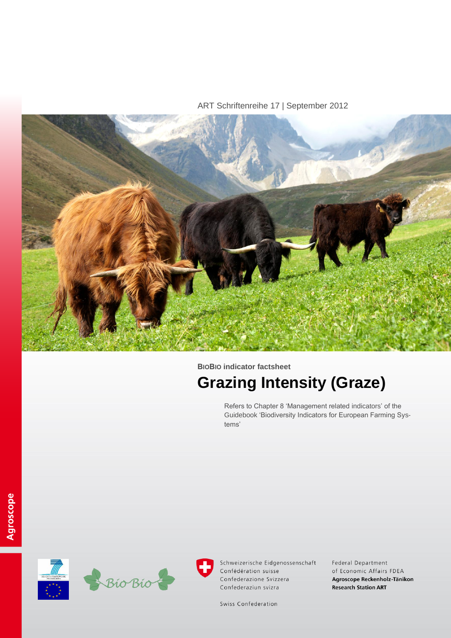ART Schriftenreihe 17 | September 2012



**BIOBIO indicator factsheet**

# **Grazing Intensity (Graze)**

Refers to Chapter 8 'Management related indicators' of the Guidebook 'Biodiversity Indicators for European Farming Systems'





Federal Department of Economic Affairs FDEA Agroscope Reckenholz-Tänikon **Research Station ART** 

Swiss Confederation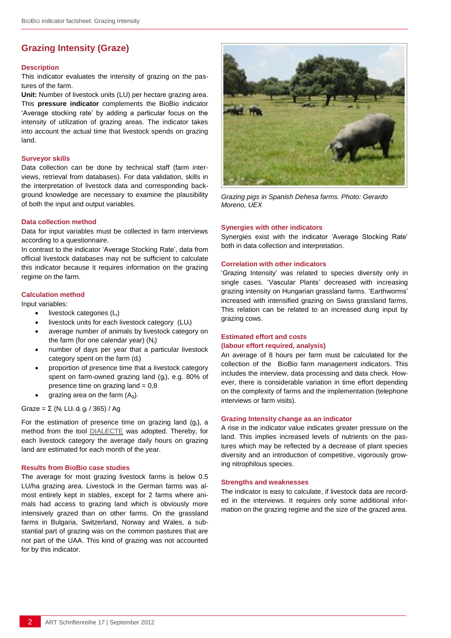# **Grazing Intensity (Graze)**

#### **Description**

This indicator evaluates the intensity of grazing on the pastures of the farm.

**Unit:** Number of livestock units (LU) per hectare grazing area. This **pressure indicator** complements the BioBio indicator 'Average stocking rate' by adding a particular focus on the intensity of utilization of grazing areas. The indicator takes into account the actual time that livestock spends on grazing land.

#### **Surveyor skills**

Data collection can be done by technical staff (farm interviews, retrieval from databases). For data validation, skills in the interpretation of livestock data and corresponding background knowledge are necessary to examine the plausibility of both the input and output variables.

#### **Data collection method**

Data for input variables must be collected in farm interviews according to a questionnaire.

In contrast to the indicator 'Average Stocking Rate', data from official livestock databases may not be sufficient to calculate this indicator because it requires information on the grazing regime on the farm.

### **Calculation method**

Input variables:

- livestock categories (Li)
- livestock units for each livestock category (LUi)
- average number of animals by livestock category on the farm (for one calendar year) (Ni)
- number of days per year that a particular livestock category spent on the farm (di)
- proportion of presence time that a livestock category spent on farm-owned grazing land (gi), e.g. 80% of presence time on grazing land  $= 0.8$
- grazing area on the farm  $(A_q)$ .

## Graze = Σ (N<sup>i</sup> LU<sup>i</sup> d<sup>i</sup> g<sup>i</sup> / 365) / Ag

For the estimation of presence time on grazing land  $(q<sub>i</sub>)$ , a method from the tool [DIALECTE](http://solagro.dialecte.org/) was adopted. Thereby, for each livestock category the average daily hours on grazing land are estimated for each month of the year.

#### **Results from BioBio case studies**

The average for most grazing livestock farms is below 0.5 LU/ha grazing area. Livestock in the German farms was almost entirely kept in stables, except for 2 farms where animals had access to grazing land which is obviously more intensively grazed than on other farms. On the grassland farms in Bulgaria, Switzerland, Norway and Wales, a substantial part of grazing was on the common pastures that are not part of the UAA. This kind of grazing was not accounted for by this indicator.



*Grazing pigs in Spanish Dehesa farms. Photo: Gerardo Moreno, UEX*

#### **Synergies with other indicators**

Synergies exist with the indicator 'Average Stocking Rate' both in data collection and interpretation.

#### **Correlation with other indicators**

'Grazing Intensity' was related to species diversity only in single cases. 'Vascular Plants' decreased with increasing grazing intensity on Hungarian grassland farms. 'Earthworms' increased with intensified grazing on Swiss grassland farms. This relation can be related to an increased dung input by grazing cows.

## **Estimated effort and costs (labour effort required, analysis)**

An average of 8 hours per farm must be calculated for the collection of the BioBio farm management indicators. This includes the interview, data processing and data check. However, there is considerable variation in time effort depending on the complexity of farms and the implementation (telephone interviews or farm visits).

#### **Grazing Intensity change as an indicator**

A rise in the indicator value indicates greater pressure on the land. This implies increased levels of nutrients on the pastures which may be reflected by a decrease of plant species diversity and an introduction of competitive, vigorously growing nitrophilous species.

#### **Strengths and weaknesses**

The indicator is easy to calculate, if livestock data are recorded in the interviews. It requires only some additional information on the grazing regime and the size of the grazed area.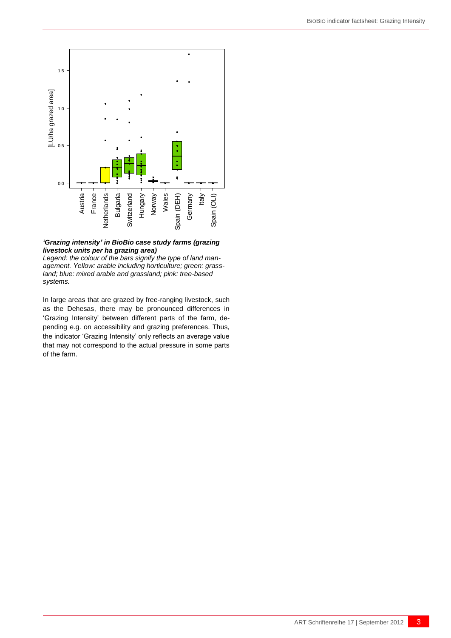

## *'Grazing intensity' in BioBio case study farms (grazing livestock units per ha grazing area)*

*Legend: the colour of the bars signify the type of land management. Yellow: arable including horticulture; green: grassland; blue: mixed arable and grassland; pink: tree-based systems.*

ART Schriftenreihe 17 | September 2012 3 Austria France Netherland Hungaria France Netherland Hungaria Switzerland Hungaria Switzerland Hungaria Switzerland Hungaria Switzerland Hungary Austria France Netherland Hungary A In large areas that are grazed by free-ranging livestock, such as the Dehesas, there may be pronounced differences in 'Grazing Intensity' between different parts of the farm, depending e.g. on accessibility and grazing preferences. Thus, the indicator 'Grazing Intensity' only reflects an average value that may not correspond to the actual pressure in some parts of the farm.